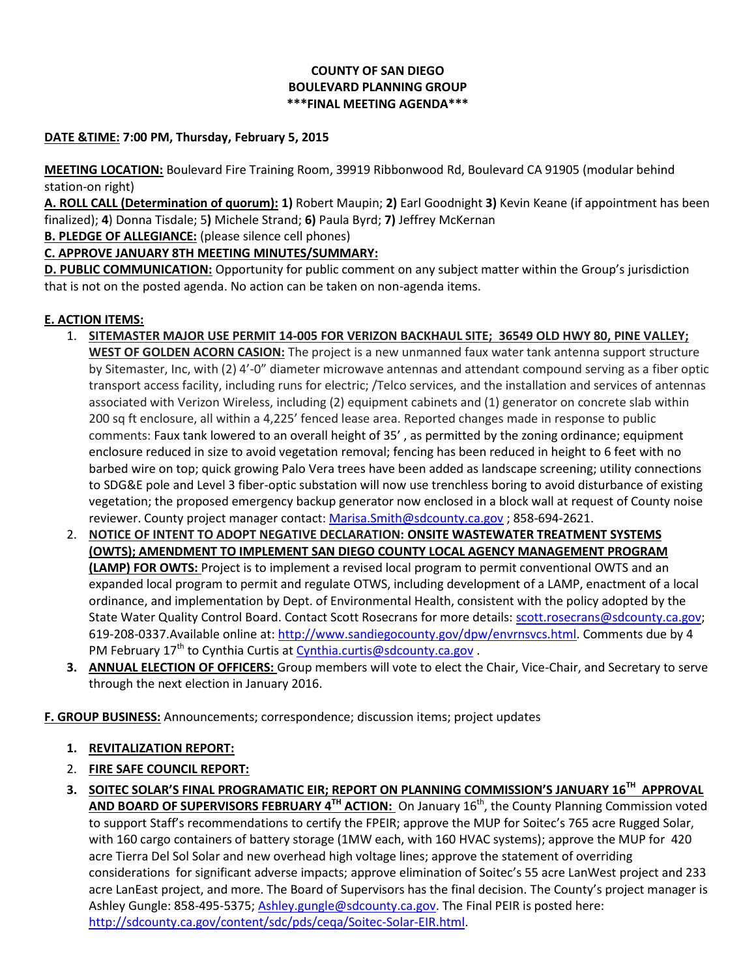## **COUNTY OF SAN DIEGO BOULEVARD PLANNING GROUP \*\*\*FINAL MEETING AGENDA\*\*\***

## **DATE &TIME: 7:00 PM, Thursday, February 5, 2015**

**MEETING LOCATION:** Boulevard Fire Training Room, 39919 Ribbonwood Rd, Boulevard CA 91905 (modular behind station-on right)

**A. ROLL CALL (Determination of quorum): 1)** Robert Maupin; **2)** Earl Goodnight **3)** Kevin Keane (if appointment has been finalized); **4**) Donna Tisdale; 5**)** Michele Strand; **6)** Paula Byrd; **7)** Jeffrey McKernan

**B. PLEDGE OF ALLEGIANCE:** (please silence cell phones)

**C. APPROVE JANUARY 8TH MEETING MINUTES/SUMMARY:** 

**D. PUBLIC COMMUNICATION:** Opportunity for public comment on any subject matter within the Group's jurisdiction that is not on the posted agenda. No action can be taken on non-agenda items.

## **E. ACTION ITEMS:**

- 1. **SITEMASTER MAJOR USE PERMIT 14-005 FOR VERIZON BACKHAUL SITE; 36549 OLD HWY 80, PINE VALLEY; WEST OF GOLDEN ACORN CASION:** The project is a new unmanned faux water tank antenna support structure by Sitemaster, Inc, with (2) 4'-0" diameter microwave antennas and attendant compound serving as a fiber optic transport access facility, including runs for electric; /Telco services, and the installation and services of antennas associated with Verizon Wireless, including (2) equipment cabinets and (1) generator on concrete slab within 200 sq ft enclosure, all within a 4,225' fenced lease area. Reported changes made in response to public comments: Faux tank lowered to an overall height of 35' , as permitted by the zoning ordinance; equipment enclosure reduced in size to avoid vegetation removal; fencing has been reduced in height to 6 feet with no barbed wire on top; quick growing Palo Vera trees have been added as landscape screening; utility connections to SDG&E pole and Level 3 fiber-optic substation will now use trenchless boring to avoid disturbance of existing vegetation; the proposed emergency backup generator now enclosed in a block wall at request of County noise reviewer. County project manager contact[: Marisa.Smith@sdcounty.ca.gov](mailto:Marisa.Smith@sdcounty.ca.gov) ; 858-694-2621.
- 2. **NOTICE OF INTENT TO ADOPT NEGATIVE DECLARATION: ONSITE WASTEWATER TREATMENT SYSTEMS (OWTS); AMENDMENT TO IMPLEMENT SAN DIEGO COUNTY LOCAL AGENCY MANAGEMENT PROGRAM (LAMP) FOR OWTS:** Project is to implement a revised local program to permit conventional OWTS and an expanded local program to permit and regulate OTWS, including development of a LAMP, enactment of a local ordinance, and implementation by Dept. of Environmental Health, consistent with the policy adopted by the State Water Quality Control Board. Contact Scott Rosecrans for more details: [scott.rosecrans@sdcounty.ca.gov;](mailto:scott.rosecrans@sdcounty.ca.gov) 619-208-0337.Available online at: [http://www.sandiegocounty.gov/dpw/envrnsvcs.html.](http://www.sandiegocounty.gov/dpw/envrnsvcs.html) Comments due by 4 PM February  $17<sup>th</sup>$  to Cynthia Curtis at [Cynthia.curtis@sdcounty.ca.gov](mailto:Cynthia.curtis@sdcounty.ca.gov).
- **3. ANNUAL ELECTION OF OFFICERS:** Group members will vote to elect the Chair, Vice-Chair, and Secretary to serve through the next election in January 2016.

**F. GROUP BUSINESS:** Announcements; correspondence; discussion items; project updates

## **1. REVITALIZATION REPORT:**

- 2. **FIRE SAFE COUNCIL REPORT:**
- **3. SOITEC SOLAR'S FINAL PROGRAMATIC EIR; REPORT ON PLANNING COMMISSION'S JANUARY 16TH APPROVAL AND BOARD OF SUPERVISORS FEBRUARY 4TH ACTION:** On January 16th, the County Planning Commission voted to support Staff's recommendations to certify the FPEIR; approve the MUP for Soitec's 765 acre Rugged Solar, with 160 cargo containers of battery storage (1MW each, with 160 HVAC systems); approve the MUP for 420 acre Tierra Del Sol Solar and new overhead high voltage lines; approve the statement of overriding considerations for significant adverse impacts; approve elimination of Soitec's 55 acre LanWest project and 233 acre LanEast project, and more. The Board of Supervisors has the final decision. The County's project manager is Ashley Gungle: 858-495-5375; [Ashley.gungle@sdcounty.ca.gov.](mailto:Ashley.gungle@sdcounty.ca.gov) The Final PEIR is posted here: [http://sdcounty.ca.gov/content/sdc/pds/ceqa/Soitec-Solar-EIR.html.](http://sdcounty.ca.gov/content/sdc/pds/ceqa/Soitec-Solar-EIR.html)